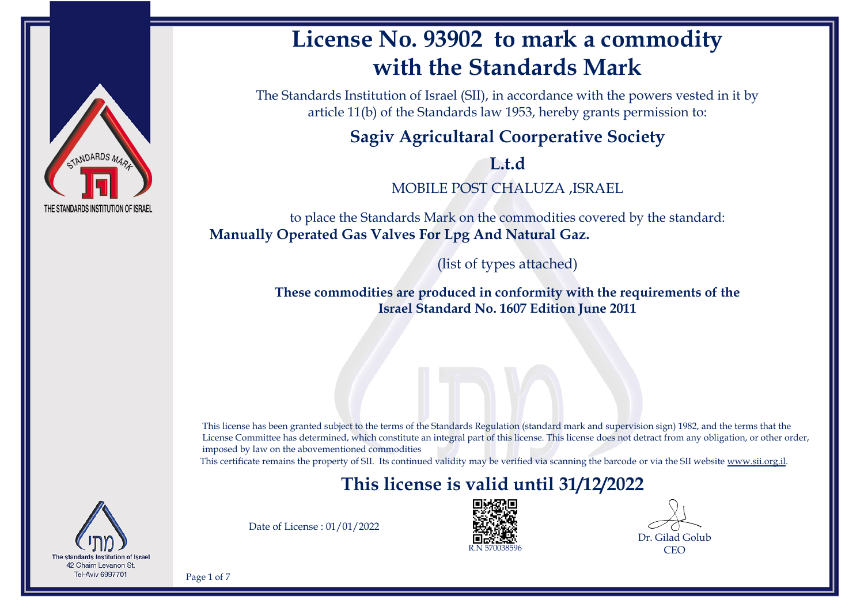

# **License No. 93902 to mark a commodity with the Standards Mark**

The Standards Institution of Israel (SII), in accordance with the powers vested in it by article 11(b) of the Standards law 1953, hereby grants permission to:

#### **Sagiv Agricultaral Coorperative Society**

**L.t.d**

MOBILE POST CHALUZA ,ISRAEL

to place the Standards Mark on the commodities covered by the standard: **Manually Operated Gas Valves For Lpg And Natural Gaz.**

(list of types attached)

**These commodities are produced in conformity with the requirements of the Israel Standard No. 1607 Edition June 2011**

This license has been granted subject to the terms of the Standards Regulation (standard mark and supervision sign) 1982, and the terms that the License Committee has determined, which constitute an integral part of this license. This license does not detract from any obligation, or other order, imposed by law on the abovementioned commodities

This certificate remains the property of SII. Its continued validity may be verified via scanning the barcode or via the SII website [www.sii.org.il.](http://www.sii.org.il)

### **This license is valid until 31/12/2022**



Date of License : 01/01/2022



Dr. Gilad Golub CEO

Page 1 of 7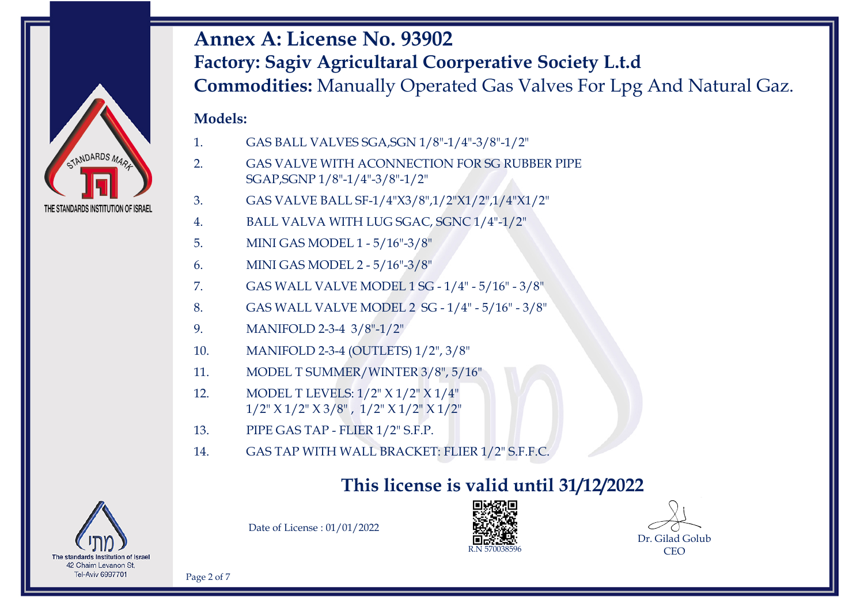

#### **Models:**

- 1. GAS BALL VALVES SGA,SGN 1/8"-1/4"-3/8"-1/2"
- 2. GAS VALVE WITH ACONNECTION FOR SG RUBBER PIPE SGAP,SGNP 1/8"-1/4"-3/8"-1/2"
- 3. GAS VALVE BALL SF-1/4"X3/8",1/2"X1/2",1/4"X1/2"
- 4. BALL VALVA WITH LUG SGAC, SGNC 1/4"-1/2"
- 5. MINI GAS MODEL 1 5/16"-3/8"
- 6. MINI GAS MODEL 2 5/16"-3/8"
- 7. GAS WALL VALVE MODEL 1 SG 1/4" 5/16" 3/8"
- 8. GAS WALL VALVE MODEL 2 SG 1/4" 5/16" 3/8"
- 9. MANIFOLD 2-3-4 3/8"-1/2"
- 10. MANIFOLD 2-3-4 (OUTLETS) 1/2", 3/8"
- 11. MODEL T SUMMER/WINTER 3/8", 5/16"
- 12. MODEL T LEVELS: 1/2" X 1/2" X 1/4" 1/2" X 1/2" X 3/8" , 1/2" X 1/2" X 1/2"
- 13. PIPE GAS TAP FLIER 1/2" S.F.P.
- 14. GAS TAP WITH WALL BRACKET: FLIER 1/2" S.F.F.C.

### **This license is valid until 31/12/2022**



Date of License : 01/01/2022



Dr. Gilad Golub CEO

Page 2 of 7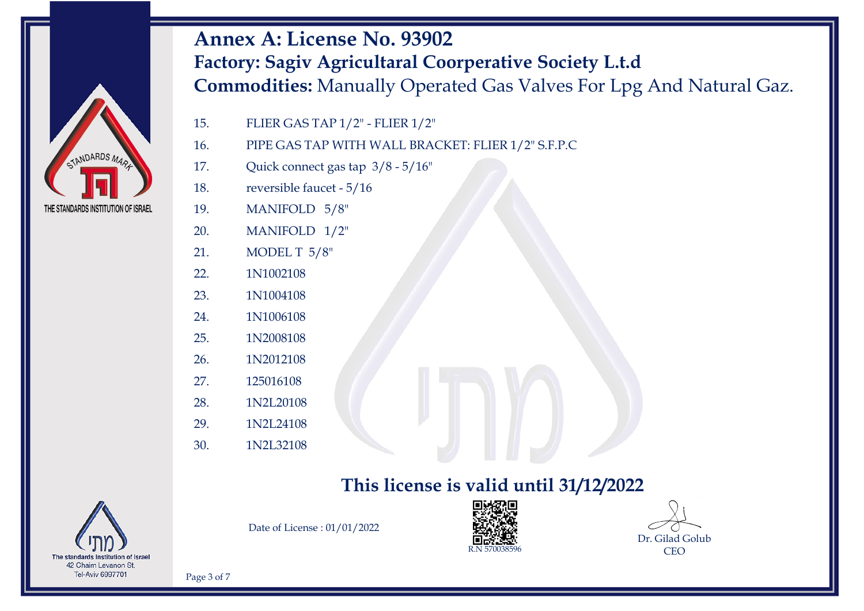- 15. FLIER GAS TAP 1/2" FLIER 1/2"
- 16. PIPE GAS TAP WITH WALL BRACKET: FLIER 1/2" S.F.P.C
- 17. Quick connect gas tap 3/8 5/16"
- 18. reversible faucet 5/16
- 19. MANIFOLD 5/8"
- 20. MANIFOLD 1/2"
- 21. MODEL T 5/8"
- 22. 1N1002108
- 23. 1N1004108
- 24. 1N1006108
- 25. 1N2008108
- 26. 1N2012108
- 27. 125016108
- 28. 1N2L20108
- 29. 1N2L24108
- 30. 1N2L32108

#### **This license is valid until 31/12/2022**



STANDARDS MAR

THE STANDARDS INSTITUTION OF ISRAEL

Date of License : 01/01/2022





Page 3 of 7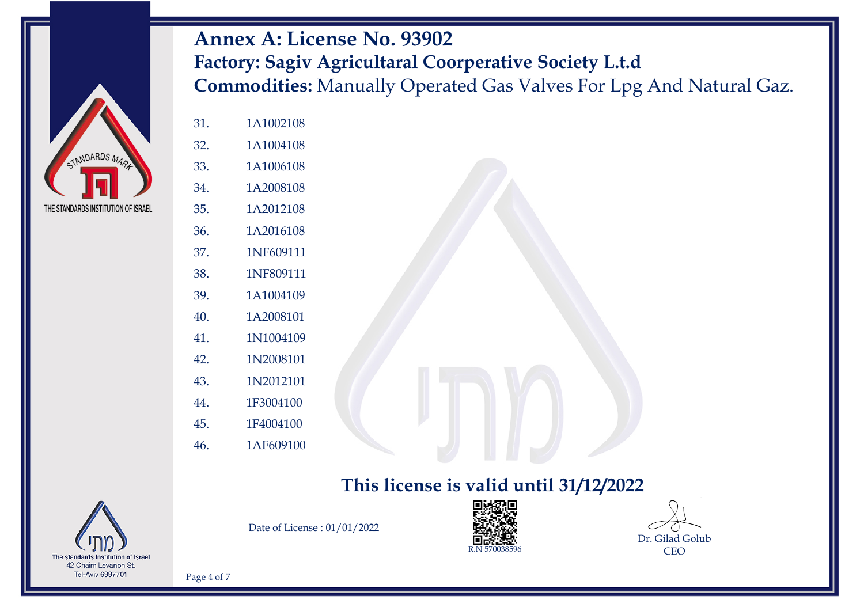- 33. 1A1006108
- 34. 1A2008108
- 35. 1A2012108
- 36. 1A2016108
- 37. 1NF609111
- 38. 1NF809111
- 39. 1A1004109
- 40. 1A2008101
- 41. 1N1004109
- 42. 1N2008101
- 43. 1N2012101
- 44. 1F3004100
- 45. 1F4004100
- 46. 1AF609100

#### **This license is valid until 31/12/2022**



STANDARDS MAR

THE STANDARDS INSTITUTION OF ISRAEL

Date of License : 01/01/2022





Page 4 of 7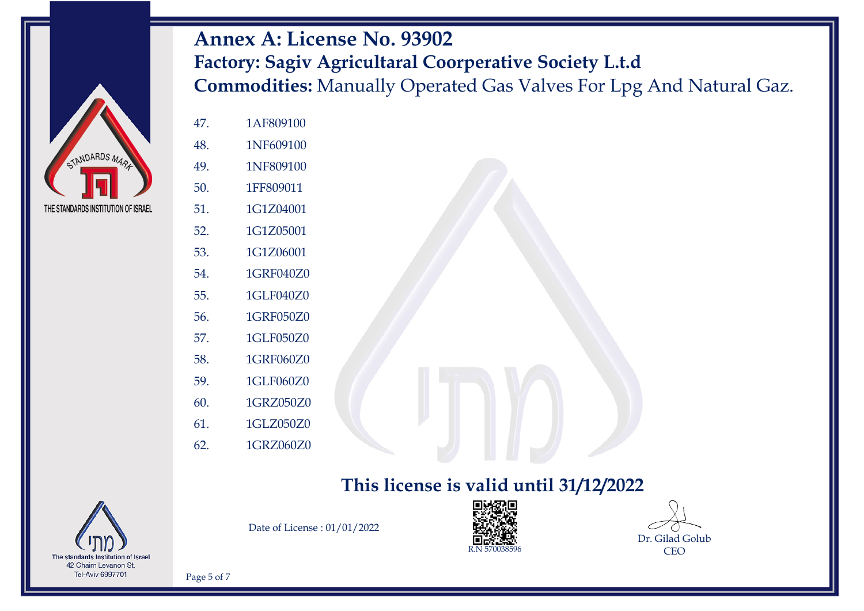

- 47. 1AF809100
- 48. 1NF609100
- 49. 1NF809100
- 50. 1FF809011
- 51. 1G1Z04001
- 52. 1G1Z05001
- 53. 1G1Z06001
- 54. 1GRF040Z0
- 55. 1GLF040Z0
- 56. 1GRF050Z0
- 57. 1GLF050Z0
- 58. 1GRF060Z0
- 59. 1GLF060Z0
- 60. 1GRZ050Z0
- 61. 1GLZ050Z0
- 62. 1GRZ060Z0

#### **This license is valid until 31/12/2022**



Date of License : 01/01/2022





Page 5 of 7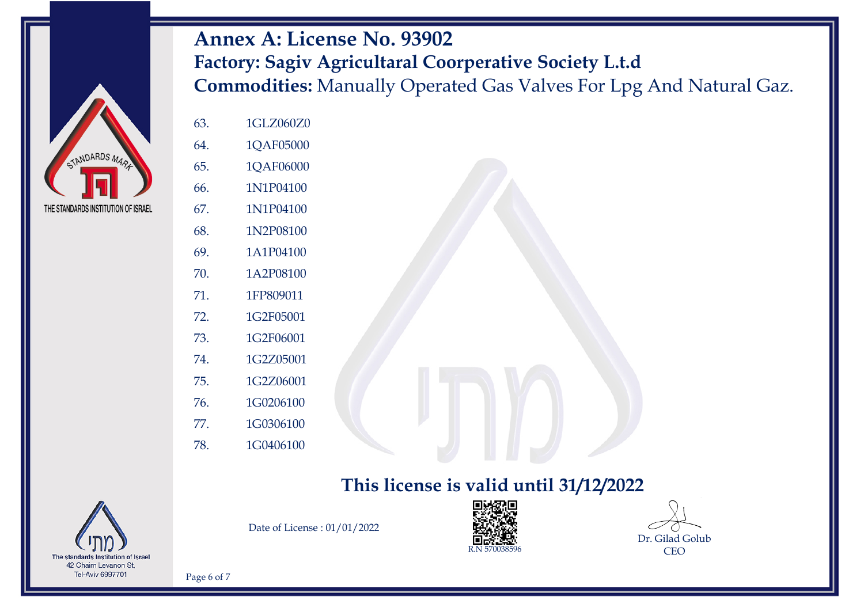

- 63. 1GLZ060Z0
- 64. 1QAF05000
- 65. 1QAF06000
- 66. 1N1P04100
- 67. 1N1P04100
- 68. 1N2P08100
- 69. 1A1P04100
- 70. 1A2P08100
- 71. 1FP809011
- 72. 1G2F05001
- 73. 1G2F06001
- 74. 1G2Z05001
- 75. 1G2Z06001
- 76. 1G0206100
- 77. 1G0306100
- 78. 1G0406100

#### **This license is valid until 31/12/2022**



Date of License : 01/01/2022





Page 6 of 7